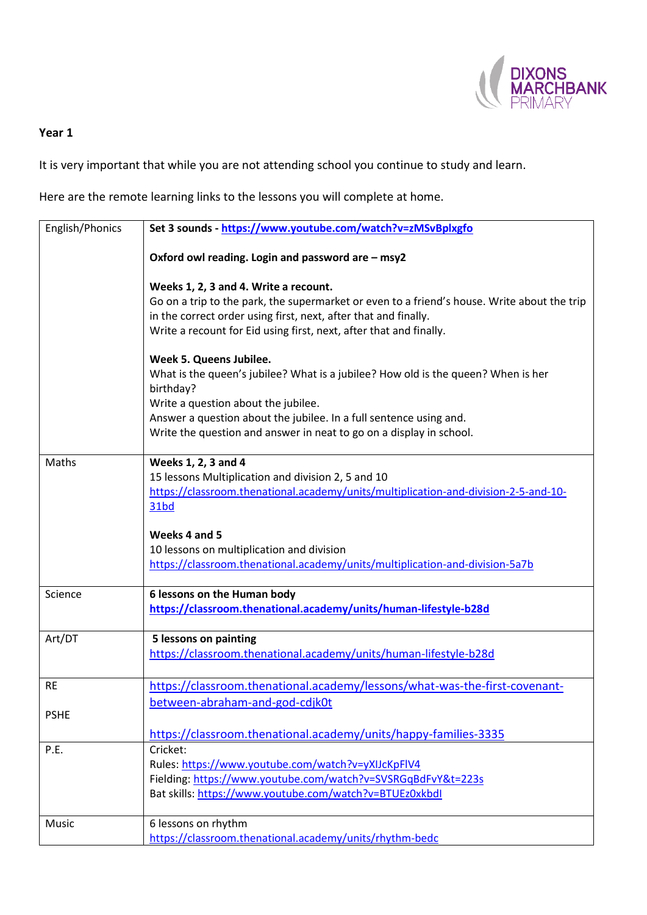

## **Year 1**

It is very important that while you are not attending school you continue to study and learn.

Here are the remote learning links to the lessons you will complete at home.

| English/Phonics | Set 3 sounds - https://www.youtube.com/watch?v=zMSvBplxgfo                                  |
|-----------------|---------------------------------------------------------------------------------------------|
|                 | Oxford owl reading. Login and password are - msy2                                           |
|                 |                                                                                             |
|                 | Weeks 1, 2, 3 and 4. Write a recount.                                                       |
|                 | Go on a trip to the park, the supermarket or even to a friend's house. Write about the trip |
|                 | in the correct order using first, next, after that and finally.                             |
|                 | Write a recount for Eid using first, next, after that and finally.                          |
|                 | Week 5. Queens Jubilee.                                                                     |
|                 | What is the queen's jubilee? What is a jubilee? How old is the queen? When is her           |
|                 | birthday?                                                                                   |
|                 | Write a question about the jubilee.                                                         |
|                 | Answer a question about the jubilee. In a full sentence using and.                          |
|                 | Write the question and answer in neat to go on a display in school.                         |
| Maths           | Weeks 1, 2, 3 and 4                                                                         |
|                 | 15 lessons Multiplication and division 2, 5 and 10                                          |
|                 | https://classroom.thenational.academy/units/multiplication-and-division-2-5-and-10-         |
|                 | <b>31bd</b>                                                                                 |
|                 |                                                                                             |
|                 | Weeks 4 and 5                                                                               |
|                 | 10 lessons on multiplication and division                                                   |
|                 | https://classroom.thenational.academy/units/multiplication-and-division-5a7b                |
| Science         | 6 lessons on the Human body                                                                 |
|                 | https://classroom.thenational.academy/units/human-lifestyle-b28d                            |
| Art/DT          | 5 lessons on painting                                                                       |
|                 | https://classroom.thenational.academy/units/human-lifestyle-b28d                            |
|                 |                                                                                             |
| <b>RE</b>       | https://classroom.thenational.academy/lessons/what-was-the-first-covenant-                  |
|                 | between-abraham-and-god-cdjk0t                                                              |
| <b>PSHE</b>     |                                                                                             |
|                 | https://classroom.thenational.academy/units/happy-families-3335                             |
| P.E.            | Cricket:                                                                                    |
|                 | Rules: https://www.youtube.com/watch?v=yXIJcKpFlV4                                          |
|                 | Fielding: https://www.youtube.com/watch?v=SVSRGqBdFvY&t=223s                                |
|                 | Bat skills: https://www.youtube.com/watch?v=BTUEz0xkbdl                                     |
| Music           | 6 lessons on rhythm                                                                         |
|                 | https://classroom.thenational.academy/units/rhythm-bedc                                     |